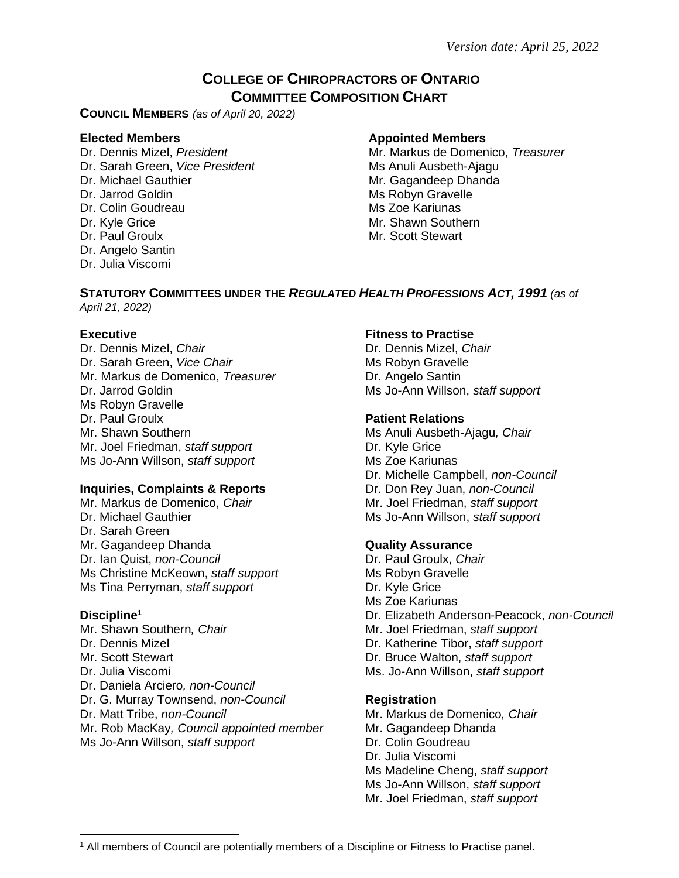## **COLLEGE OF CHIROPRACTORS OF ONTARIO COMMITTEE COMPOSITION CHART**

**COUNCIL MEMBERS** *(as of April 20, 2022)*

Dr. Sarah Green, *Vice President* Ms Anuli Ausbeth-Ajagu Dr. Michael Gauthier Mr. Gagandeep Dhanda Dr. Jarrod Goldin Ms Robyn Gravelle Dr. Colin Goudreau **Ms** Zoe Kariunas Dr. Kyle Grice **Mr. Shawn Southern** Mr. Shawn Southern Dr. Paul Groulx **Mr. Scott Stewart** Dr. Angelo Santin Dr. Julia Viscomi

### **Elected Members Appointed Members**

Dr. Dennis Mizel, *President* Mr. Markus de Domenico, *Treasurer* 

# **STATUTORY COMMITTEES UNDER THE** *REGULATED HEALTH PROFESSIONS ACT, 1991 (as of*

*April 21, 2022)*

Dr. Dennis Mizel, *Chair* Dr. Sarah Green, *Vice Chair* Mr. Markus de Domenico, *Treasurer* **Dr. Angelo Santin** Dr. Jarrod Goldin **Ms Jo-Ann Willson**, *staff support* Ms Robyn Gravelle Dr. Paul Groulx **Patient Relations** Mr. Shawn Southern **Ms Anuli Ausbeth-Ajagu**, *Chair* Ms Anuli Ausbeth-Ajagu, *Chair* Mr. Joel Friedman, *staff support* Dr. Kyle Grice Ms Jo-Ann Willson, *staff support* Ms Zoe Kariunas

### **Inquiries, Complaints & Reports Dr. Don Rey Juan,** *non-Council*

Mr. Markus de Domenico, *Chair* Mr. Joel Friedman, *staff support* Dr. Michael Gauthier **Ms Jo-Ann Willson**, *staff support* Ms Jo-Ann Willson, *staff support* Dr. Sarah Green Mr. Gagandeep Dhanda **Quality Assurance** Dr. Ian Quist, *non-Council* **Dr. Paul Groulx,** *Chair* Dr. Paul Groulx, *Chair* Ms Christine McKeown, *staff support* Ms Robyn Gravelle Ms Tina Perryman, *staff support* Dr. Kyle Grice

Mr. Shawn Southern, *Chair* Mr. Joel Friedman, *staff support Mr.* Joel Friedman, *staff support* Dr. Dennis Mizel Mr. Scott Stewart Dr. Julia Viscomi Ms. Jo-Ann Willson, *staff support* Dr. Daniela Arciero*, non-Council* Dr. G. Murray Townsend, *non-Council* **Registration** Dr. Matt Tribe, *non-Council* Mr. Markus de Domenico, *Chair*<br>Mr. Rob MacKay, *Council appointed member* Mr. Gagandeep Dhanda Mr. Rob MacKay, Council appointed member Ms Jo-Ann Willson, *staff support* Dr. Colin Goudreau

### **Executive Fitness to Practise**

Dr. Dennis Mizel, *Chair* Ms Robyn Gravelle

Dr. Michelle Campbell, *non-Council*

Ms Zoe Kariunas **Discipline<sup>1</sup>** Dr. Elizabeth Anderson-Peacock, *non-Council* Dr. Katherine Tibor, *staff support* Dr. Bruce Walton, *staff support*

Dr. Julia Viscomi Ms Madeline Cheng, *staff support* Ms Jo-Ann Willson, *staff support* Mr. Joel Friedman, *staff support*

<sup>1</sup> All members of Council are potentially members of a Discipline or Fitness to Practise panel.